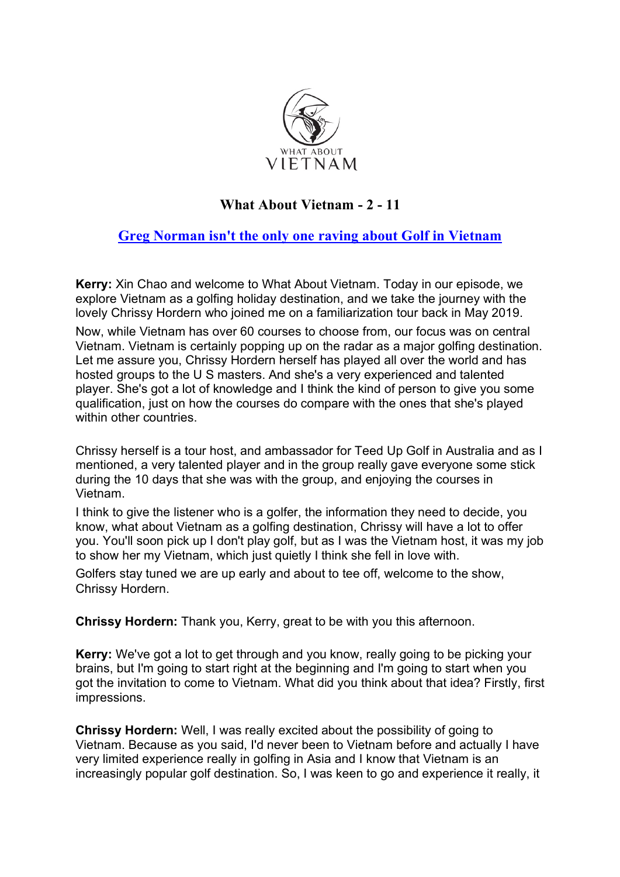

## **What About Vietnam - 2 - 11**

# **Greg Norman isn't the only one raving about Golf in Vietnam**

**Kerry:** Xin Chao and welcome to What About Vietnam. Today in our episode, we explore Vietnam as a golfing holiday destination, and we take the journey with the lovely Chrissy Hordern who joined me on a familiarization tour back in May 2019.

Now, while Vietnam has over 60 courses to choose from, our focus was on central Vietnam. Vietnam is certainly popping up on the radar as a major golfing destination. Let me assure you, Chrissy Hordern herself has played all over the world and has hosted groups to the U S masters. And she's a very experienced and talented player. She's got a lot of knowledge and I think the kind of person to give you some qualification, just on how the courses do compare with the ones that she's played within other countries.

Chrissy herself is a tour host, and ambassador for Teed Up Golf in Australia and as I mentioned, a very talented player and in the group really gave everyone some stick during the 10 days that she was with the group, and enjoying the courses in Vietnam.

I think to give the listener who is a golfer, the information they need to decide, you know, what about Vietnam as a golfing destination, Chrissy will have a lot to offer you. You'll soon pick up I don't play golf, but as I was the Vietnam host, it was my job to show her my Vietnam, which just quietly I think she fell in love with.

Golfers stay tuned we are up early and about to tee off, welcome to the show, Chrissy Hordern.

**Chrissy Hordern:** Thank you, Kerry, great to be with you this afternoon.

**Kerry:** We've got a lot to get through and you know, really going to be picking your brains, but I'm going to start right at the beginning and I'm going to start when you got the invitation to come to Vietnam. What did you think about that idea? Firstly, first impressions.

**Chrissy Hordern:** Well, I was really excited about the possibility of going to Vietnam. Because as you said, I'd never been to Vietnam before and actually I have very limited experience really in golfing in Asia and I know that Vietnam is an increasingly popular golf destination. So, I was keen to go and experience it really, it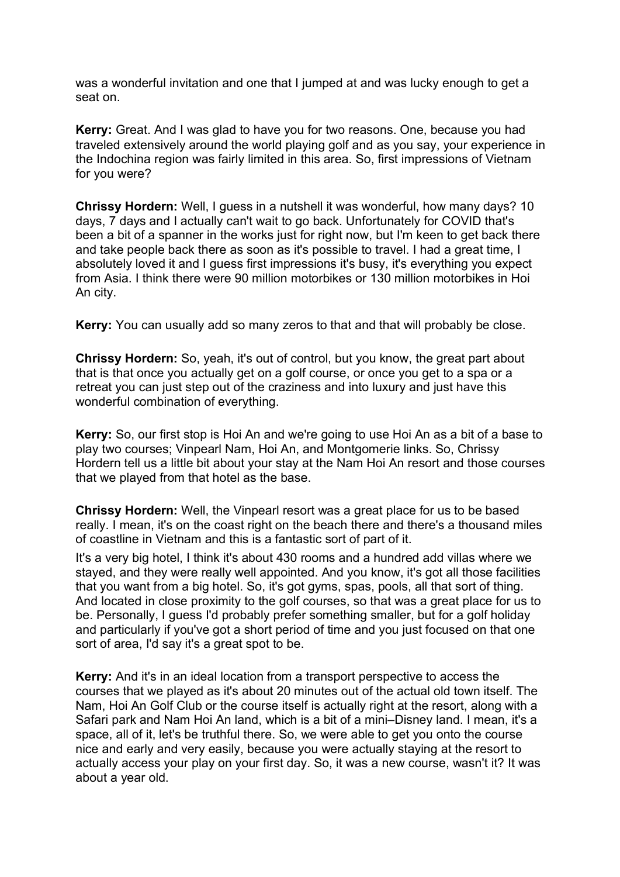was a wonderful invitation and one that I jumped at and was lucky enough to get a seat on.

**Kerry:** Great. And I was glad to have you for two reasons. One, because you had traveled extensively around the world playing golf and as you say, your experience in the Indochina region was fairly limited in this area. So, first impressions of Vietnam for you were?

**Chrissy Hordern:** Well, I guess in a nutshell it was wonderful, how many days? 10 days, 7 days and I actually can't wait to go back. Unfortunately for COVID that's been a bit of a spanner in the works just for right now, but I'm keen to get back there and take people back there as soon as it's possible to travel. I had a great time, I absolutely loved it and I guess first impressions it's busy, it's everything you expect from Asia. I think there were 90 million motorbikes or 130 million motorbikes in Hoi An city.

**Kerry:** You can usually add so many zeros to that and that will probably be close.

**Chrissy Hordern:** So, yeah, it's out of control, but you know, the great part about that is that once you actually get on a golf course, or once you get to a spa or a retreat you can just step out of the craziness and into luxury and just have this wonderful combination of everything.

**Kerry:** So, our first stop is Hoi An and we're going to use Hoi An as a bit of a base to play two courses; Vinpearl Nam, Hoi An, and Montgomerie links. So, Chrissy Hordern tell us a little bit about your stay at the Nam Hoi An resort and those courses that we played from that hotel as the base.

**Chrissy Hordern:** Well, the Vinpearl resort was a great place for us to be based really. I mean, it's on the coast right on the beach there and there's a thousand miles of coastline in Vietnam and this is a fantastic sort of part of it.

It's a very big hotel, I think it's about 430 rooms and a hundred add villas where we stayed, and they were really well appointed. And you know, it's got all those facilities that you want from a big hotel. So, it's got gyms, spas, pools, all that sort of thing. And located in close proximity to the golf courses, so that was a great place for us to be. Personally, I guess I'd probably prefer something smaller, but for a golf holiday and particularly if you've got a short period of time and you just focused on that one sort of area, I'd say it's a great spot to be.

**Kerry:** And it's in an ideal location from a transport perspective to access the courses that we played as it's about 20 minutes out of the actual old town itself. The Nam, Hoi An Golf Club or the course itself is actually right at the resort, along with a Safari park and Nam Hoi An land, which is a bit of a mini–Disney land. I mean, it's a space, all of it, let's be truthful there. So, we were able to get you onto the course nice and early and very easily, because you were actually staying at the resort to actually access your play on your first day. So, it was a new course, wasn't it? It was about a year old.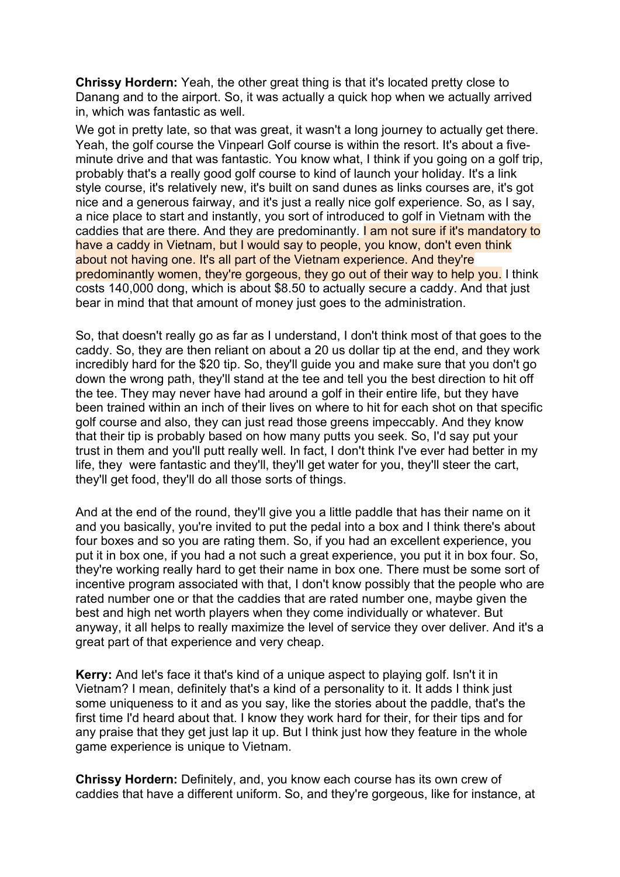**Chrissy Hordern:** Yeah, the other great thing is that it's located pretty close to Danang and to the airport. So, it was actually a quick hop when we actually arrived in, which was fantastic as well.

We got in pretty late, so that was great, it wasn't a long journey to actually get there. Yeah, the golf course the Vinpearl Golf course is within the resort. It's about a fiveminute drive and that was fantastic. You know what, I think if you going on a golf trip, probably that's a really good golf course to kind of launch your holiday. It's a link style course, it's relatively new, it's built on sand dunes as links courses are, it's got nice and a generous fairway, and it's just a really nice golf experience. So, as I say, a nice place to start and instantly, you sort of introduced to golf in Vietnam with the caddies that are there. And they are predominantly. I am not sure if it's mandatory to have a caddy in Vietnam, but I would say to people, you know, don't even think about not having one. It's all part of the Vietnam experience. And they're predominantly women, they're gorgeous, they go out of their way to help you. I think costs 140,000 dong, which is about \$8.50 to actually secure a caddy. And that just bear in mind that that amount of money just goes to the administration.

So, that doesn't really go as far as I understand, I don't think most of that goes to the caddy. So, they are then reliant on about a 20 us dollar tip at the end, and they work incredibly hard for the \$20 tip. So, they'll guide you and make sure that you don't go down the wrong path, they'll stand at the tee and tell you the best direction to hit off the tee. They may never have had around a golf in their entire life, but they have been trained within an inch of their lives on where to hit for each shot on that specific golf course and also, they can just read those greens impeccably. And they know that their tip is probably based on how many putts you seek. So, I'd say put your trust in them and you'll putt really well. In fact, I don't think I've ever had better in my life, they were fantastic and they'll, they'll get water for you, they'll steer the cart, they'll get food, they'll do all those sorts of things.

And at the end of the round, they'll give you a little paddle that has their name on it and you basically, you're invited to put the pedal into a box and I think there's about four boxes and so you are rating them. So, if you had an excellent experience, you put it in box one, if you had a not such a great experience, you put it in box four. So, they're working really hard to get their name in box one. There must be some sort of incentive program associated with that, I don't know possibly that the people who are rated number one or that the caddies that are rated number one, maybe given the best and high net worth players when they come individually or whatever. But anyway, it all helps to really maximize the level of service they over deliver. And it's a great part of that experience and very cheap.

**Kerry:** And let's face it that's kind of a unique aspect to playing golf. Isn't it in Vietnam? I mean, definitely that's a kind of a personality to it. It adds I think just some uniqueness to it and as you say, like the stories about the paddle, that's the first time I'd heard about that. I know they work hard for their, for their tips and for any praise that they get just lap it up. But I think just how they feature in the whole game experience is unique to Vietnam.

**Chrissy Hordern:** Definitely, and, you know each course has its own crew of caddies that have a different uniform. So, and they're gorgeous, like for instance, at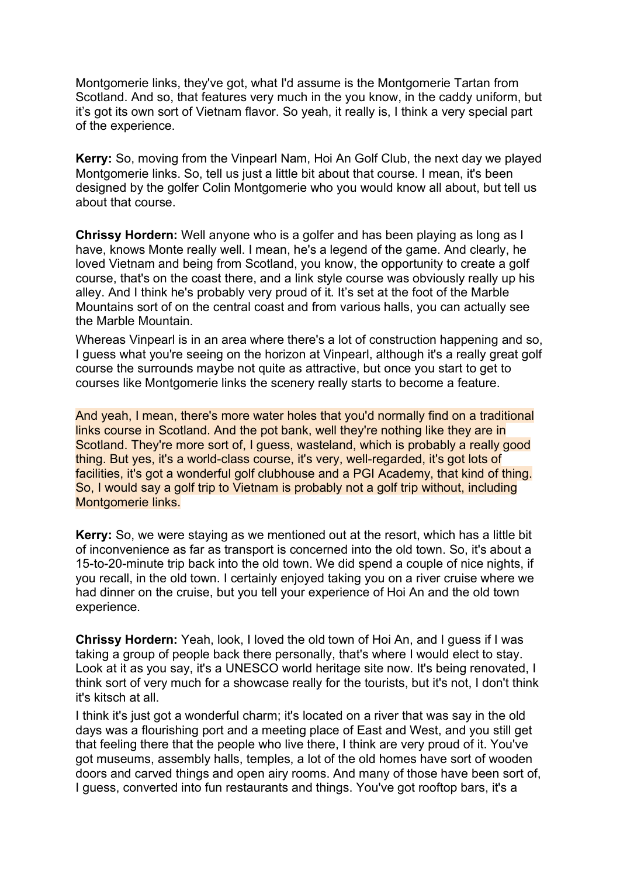Montgomerie links, they've got, what I'd assume is the Montgomerie Tartan from Scotland. And so, that features very much in the you know, in the caddy uniform, but it's got its own sort of Vietnam flavor. So yeah, it really is, I think a very special part of the experience.

**Kerry:** So, moving from the Vinpearl Nam, Hoi An Golf Club, the next day we played Montgomerie links. So, tell us just a little bit about that course. I mean, it's been designed by the golfer Colin Montgomerie who you would know all about, but tell us about that course.

**Chrissy Hordern:** Well anyone who is a golfer and has been playing as long as I have, knows Monte really well. I mean, he's a legend of the game. And clearly, he loved Vietnam and being from Scotland, you know, the opportunity to create a golf course, that's on the coast there, and a link style course was obviously really up his alley. And I think he's probably very proud of it. It's set at the foot of the Marble Mountains sort of on the central coast and from various halls, you can actually see the Marble Mountain.

Whereas Vinpearl is in an area where there's a lot of construction happening and so, I guess what you're seeing on the horizon at Vinpearl, although it's a really great golf course the surrounds maybe not quite as attractive, but once you start to get to courses like Montgomerie links the scenery really starts to become a feature.

And yeah, I mean, there's more water holes that you'd normally find on a traditional links course in Scotland. And the pot bank, well they're nothing like they are in Scotland. They're more sort of, I guess, wasteland, which is probably a really good thing. But yes, it's a world-class course, it's very, well-regarded, it's got lots of facilities, it's got a wonderful golf clubhouse and a PGI Academy, that kind of thing. So, I would say a golf trip to Vietnam is probably not a golf trip without, including Montgomerie links.

**Kerry:** So, we were staying as we mentioned out at the resort, which has a little bit of inconvenience as far as transport is concerned into the old town. So, it's about a 15-to-20-minute trip back into the old town. We did spend a couple of nice nights, if you recall, in the old town. I certainly enjoyed taking you on a river cruise where we had dinner on the cruise, but you tell your experience of Hoi An and the old town experience.

**Chrissy Hordern:** Yeah, look, I loved the old town of Hoi An, and I guess if I was taking a group of people back there personally, that's where I would elect to stay. Look at it as you say, it's a UNESCO world heritage site now. It's being renovated, I think sort of very much for a showcase really for the tourists, but it's not, I don't think it's kitsch at all.

I think it's just got a wonderful charm; it's located on a river that was say in the old days was a flourishing port and a meeting place of East and West, and you still get that feeling there that the people who live there, I think are very proud of it. You've got museums, assembly halls, temples, a lot of the old homes have sort of wooden doors and carved things and open airy rooms. And many of those have been sort of, I guess, converted into fun restaurants and things. You've got rooftop bars, it's a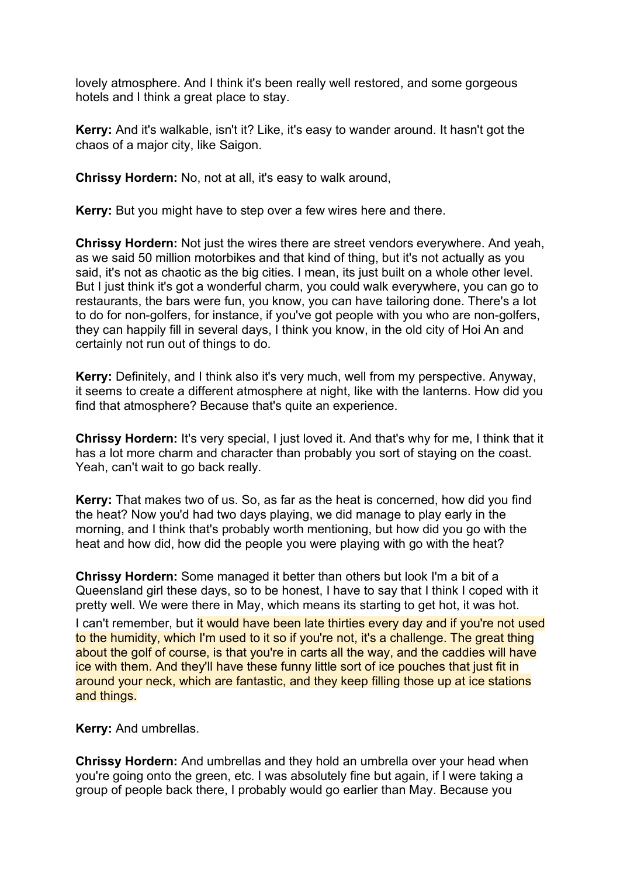lovely atmosphere. And I think it's been really well restored, and some gorgeous hotels and I think a great place to stay.

**Kerry:** And it's walkable, isn't it? Like, it's easy to wander around. It hasn't got the chaos of a major city, like Saigon.

**Chrissy Hordern:** No, not at all, it's easy to walk around,

**Kerry:** But you might have to step over a few wires here and there.

**Chrissy Hordern:** Not just the wires there are street vendors everywhere. And yeah, as we said 50 million motorbikes and that kind of thing, but it's not actually as you said, it's not as chaotic as the big cities. I mean, its just built on a whole other level. But I just think it's got a wonderful charm, you could walk everywhere, you can go to restaurants, the bars were fun, you know, you can have tailoring done. There's a lot to do for non-golfers, for instance, if you've got people with you who are non-golfers, they can happily fill in several days, I think you know, in the old city of Hoi An and certainly not run out of things to do.

**Kerry:** Definitely, and I think also it's very much, well from my perspective. Anyway, it seems to create a different atmosphere at night, like with the lanterns. How did you find that atmosphere? Because that's quite an experience.

**Chrissy Hordern:** It's very special, I just loved it. And that's why for me, I think that it has a lot more charm and character than probably you sort of staying on the coast. Yeah, can't wait to go back really.

**Kerry:** That makes two of us. So, as far as the heat is concerned, how did you find the heat? Now you'd had two days playing, we did manage to play early in the morning, and I think that's probably worth mentioning, but how did you go with the heat and how did, how did the people you were playing with go with the heat?

**Chrissy Hordern:** Some managed it better than others but look I'm a bit of a Queensland girl these days, so to be honest, I have to say that I think I coped with it pretty well. We were there in May, which means its starting to get hot, it was hot.

I can't remember, but it would have been late thirties every day and if you're not used to the humidity, which I'm used to it so if you're not, it's a challenge. The great thing about the golf of course, is that you're in carts all the way, and the caddies will have ice with them. And they'll have these funny little sort of ice pouches that just fit in around your neck, which are fantastic, and they keep filling those up at ice stations and things.

**Kerry:** And umbrellas.

**Chrissy Hordern:** And umbrellas and they hold an umbrella over your head when you're going onto the green, etc. I was absolutely fine but again, if I were taking a group of people back there, I probably would go earlier than May. Because you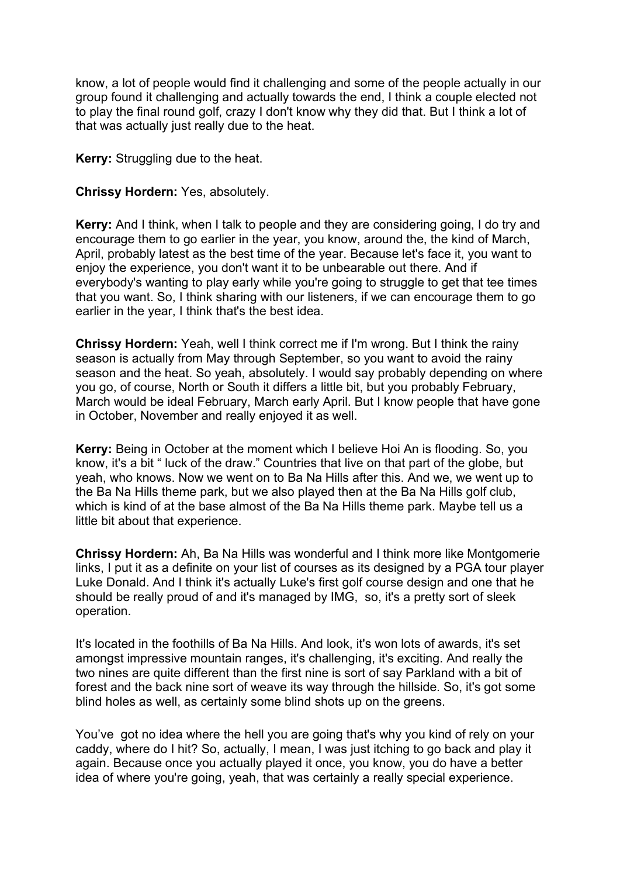know, a lot of people would find it challenging and some of the people actually in our group found it challenging and actually towards the end, I think a couple elected not to play the final round golf, crazy I don't know why they did that. But I think a lot of that was actually just really due to the heat.

**Kerry:** Struggling due to the heat.

#### **Chrissy Hordern:** Yes, absolutely.

**Kerry:** And I think, when I talk to people and they are considering going, I do try and encourage them to go earlier in the year, you know, around the, the kind of March, April, probably latest as the best time of the year. Because let's face it, you want to enjoy the experience, you don't want it to be unbearable out there. And if everybody's wanting to play early while you're going to struggle to get that tee times that you want. So, I think sharing with our listeners, if we can encourage them to go earlier in the year, I think that's the best idea.

**Chrissy Hordern:** Yeah, well I think correct me if I'm wrong. But I think the rainy season is actually from May through September, so you want to avoid the rainy season and the heat. So yeah, absolutely. I would say probably depending on where you go, of course, North or South it differs a little bit, but you probably February, March would be ideal February, March early April. But I know people that have gone in October, November and really enjoyed it as well.

**Kerry:** Being in October at the moment which I believe Hoi An is flooding. So, you know, it's a bit " luck of the draw." Countries that live on that part of the globe, but yeah, who knows. Now we went on to Ba Na Hills after this. And we, we went up to the Ba Na Hills theme park, but we also played then at the Ba Na Hills golf club, which is kind of at the base almost of the Ba Na Hills theme park. Maybe tell us a little bit about that experience.

**Chrissy Hordern:** Ah, Ba Na Hills was wonderful and I think more like Montgomerie links, I put it as a definite on your list of courses as its designed by a PGA tour player Luke Donald. And I think it's actually Luke's first golf course design and one that he should be really proud of and it's managed by IMG, so, it's a pretty sort of sleek operation.

It's located in the foothills of Ba Na Hills. And look, it's won lots of awards, it's set amongst impressive mountain ranges, it's challenging, it's exciting. And really the two nines are quite different than the first nine is sort of say Parkland with a bit of forest and the back nine sort of weave its way through the hillside. So, it's got some blind holes as well, as certainly some blind shots up on the greens.

You've got no idea where the hell you are going that's why you kind of rely on your caddy, where do I hit? So, actually, I mean, I was just itching to go back and play it again. Because once you actually played it once, you know, you do have a better idea of where you're going, yeah, that was certainly a really special experience.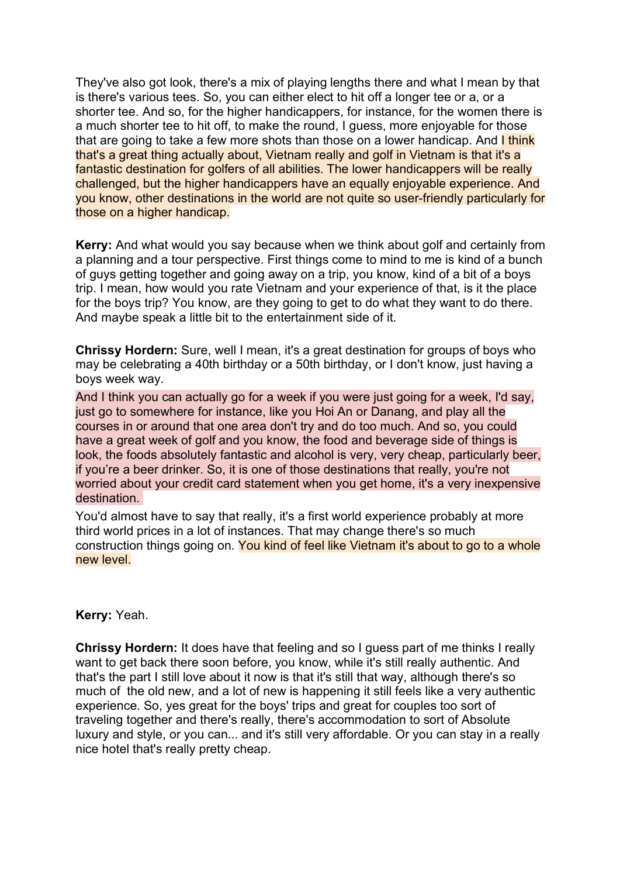They've also got look, there's a mix of playing lengths there and what I mean by that is there's various tees. So, you can either elect to hit off a longer tee or a, or a shorter tee. And so, for the higher handicappers, for instance, for the women there is a much shorter tee to hit off, to make the round, I guess, more enjoyable for those that are going to take a few more shots than those on a lower handicap. And **I think** that's a great thing actually about, Vietnam really and golf in Vietnam is that it's a fantastic destination for golfers of all abilities. The lower handicappers will be really challenged, but the higher handicappers have an equally enjoyable experience. And you know, other destinations in the world are not quite so user-friendly particularly for those on a higher handicap.

**Kerry:** And what would you say because when we think about golf and certainly from a planning and a tour perspective. First things come to mind to me is kind of a bunch of guys getting together and going away on a trip, you know, kind of a bit of a boys trip. I mean, how would you rate Vietnam and your experience of that, is it the place for the boys trip? You know, are they going to get to do what they want to do there. And maybe speak a little bit to the entertainment side of it.

**Chrissy Hordern:** Sure, well I mean, it's a great destination for groups of boys who may be celebrating a 40th birthday or a 50th birthday, or I don't know, just having a boys week way.

And I think you can actually go for a week if you were just going for a week, I'd say, just go to somewhere for instance, like you Hoi An or Danang, and play all the courses in or around that one area don't try and do too much. And so, you could have a great week of golf and you know, the food and beverage side of things is look, the foods absolutely fantastic and alcohol is very, very cheap, particularly beer, if you're a beer drinker. So, it is one of those destinations that really, you're not worried about your credit card statement when you get home, it's a very inexpensive destination.

You'd almost have to say that really, it's a first world experience probably at more third world prices in a lot of instances. That may change there's so much construction things going on. You kind of feel like Vietnam it's about to go to a whole new level.

#### **Kerry:** Yeah.

**Chrissy Hordern:** It does have that feeling and so I guess part of me thinks I really want to get back there soon before, you know, while it's still really authentic. And that's the part I still love about it now is that it's still that way, although there's so much of the old new, and a lot of new is happening it still feels like a very authentic experience. So, yes great for the boys' trips and great for couples too sort of traveling together and there's really, there's accommodation to sort of Absolute luxury and style, or you can... and it's still very affordable. Or you can stay in a really nice hotel that's really pretty cheap.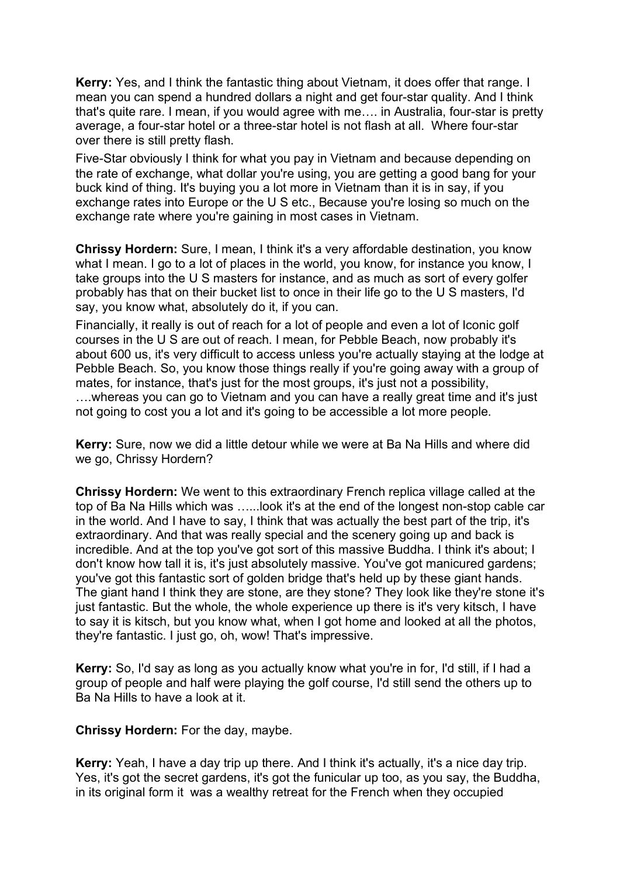**Kerry:** Yes, and I think the fantastic thing about Vietnam, it does offer that range. I mean you can spend a hundred dollars a night and get four-star quality. And I think that's quite rare. I mean, if you would agree with me…. in Australia, four-star is pretty average, a four-star hotel or a three-star hotel is not flash at all. Where four-star over there is still pretty flash.

Five-Star obviously I think for what you pay in Vietnam and because depending on the rate of exchange, what dollar you're using, you are getting a good bang for your buck kind of thing. It's buying you a lot more in Vietnam than it is in say, if you exchange rates into Europe or the U S etc., Because you're losing so much on the exchange rate where you're gaining in most cases in Vietnam.

**Chrissy Hordern:** Sure, I mean, I think it's a very affordable destination, you know what I mean. I go to a lot of places in the world, you know, for instance you know, I take groups into the U S masters for instance, and as much as sort of every golfer probably has that on their bucket list to once in their life go to the U S masters, I'd say, you know what, absolutely do it, if you can.

Financially, it really is out of reach for a lot of people and even a lot of Iconic golf courses in the U S are out of reach. I mean, for Pebble Beach, now probably it's about 600 us, it's very difficult to access unless you're actually staying at the lodge at Pebble Beach. So, you know those things really if you're going away with a group of mates, for instance, that's just for the most groups, it's just not a possibility, ….whereas you can go to Vietnam and you can have a really great time and it's just not going to cost you a lot and it's going to be accessible a lot more people.

**Kerry:** Sure, now we did a little detour while we were at Ba Na Hills and where did we go, Chrissy Hordern?

**Chrissy Hordern:** We went to this extraordinary French replica village called at the top of Ba Na Hills which was …...look it's at the end of the longest non-stop cable car in the world. And I have to say, I think that was actually the best part of the trip, it's extraordinary. And that was really special and the scenery going up and back is incredible. And at the top you've got sort of this massive Buddha. I think it's about; I don't know how tall it is, it's just absolutely massive. You've got manicured gardens; you've got this fantastic sort of golden bridge that's held up by these giant hands. The giant hand I think they are stone, are they stone? They look like they're stone it's just fantastic. But the whole, the whole experience up there is it's very kitsch, I have to say it is kitsch, but you know what, when I got home and looked at all the photos, they're fantastic. I just go, oh, wow! That's impressive.

**Kerry:** So, I'd say as long as you actually know what you're in for, I'd still, if I had a group of people and half were playing the golf course, I'd still send the others up to Ba Na Hills to have a look at it.

**Chrissy Hordern:** For the day, maybe.

**Kerry:** Yeah, I have a day trip up there. And I think it's actually, it's a nice day trip. Yes, it's got the secret gardens, it's got the funicular up too, as you say, the Buddha, in its original form it was a wealthy retreat for the French when they occupied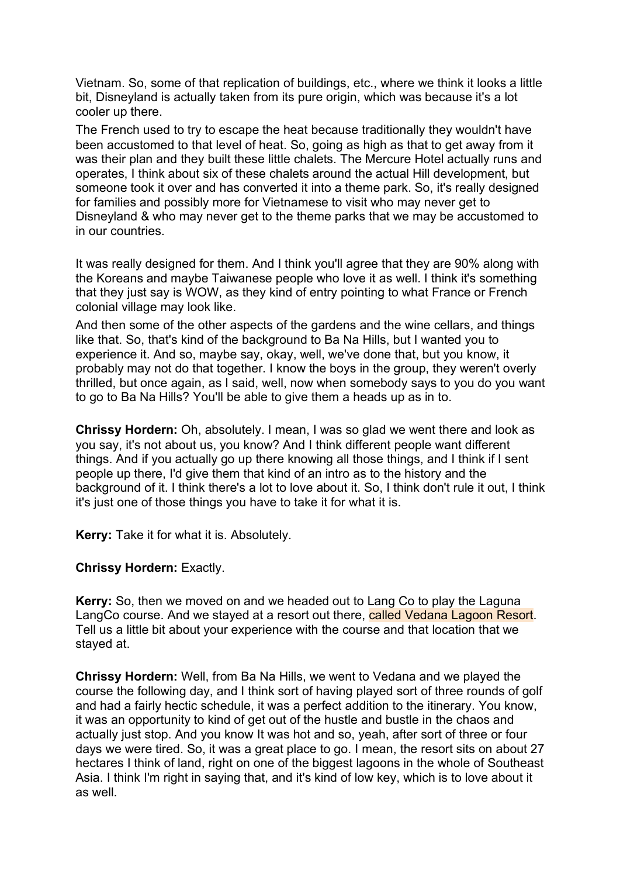Vietnam. So, some of that replication of buildings, etc., where we think it looks a little bit, Disneyland is actually taken from its pure origin, which was because it's a lot cooler up there.

The French used to try to escape the heat because traditionally they wouldn't have been accustomed to that level of heat. So, going as high as that to get away from it was their plan and they built these little chalets. The Mercure Hotel actually runs and operates, I think about six of these chalets around the actual Hill development, but someone took it over and has converted it into a theme park. So, it's really designed for families and possibly more for Vietnamese to visit who may never get to Disneyland & who may never get to the theme parks that we may be accustomed to in our countries.

It was really designed for them. And I think you'll agree that they are 90% along with the Koreans and maybe Taiwanese people who love it as well. I think it's something that they just say is WOW, as they kind of entry pointing to what France or French colonial village may look like.

And then some of the other aspects of the gardens and the wine cellars, and things like that. So, that's kind of the background to Ba Na Hills, but I wanted you to experience it. And so, maybe say, okay, well, we've done that, but you know, it probably may not do that together. I know the boys in the group, they weren't overly thrilled, but once again, as I said, well, now when somebody says to you do you want to go to Ba Na Hills? You'll be able to give them a heads up as in to.

**Chrissy Hordern:** Oh, absolutely. I mean, I was so glad we went there and look as you say, it's not about us, you know? And I think different people want different things. And if you actually go up there knowing all those things, and I think if I sent people up there, I'd give them that kind of an intro as to the history and the background of it. I think there's a lot to love about it. So, I think don't rule it out, I think it's just one of those things you have to take it for what it is.

**Kerry:** Take it for what it is. Absolutely.

### **Chrissy Hordern:** Exactly.

**Kerry:** So, then we moved on and we headed out to Lang Co to play the Laguna LangCo course. And we stayed at a resort out there, called Vedana Lagoon Resort. Tell us a little bit about your experience with the course and that location that we stayed at.

**Chrissy Hordern:** Well, from Ba Na Hills, we went to Vedana and we played the course the following day, and I think sort of having played sort of three rounds of golf and had a fairly hectic schedule, it was a perfect addition to the itinerary. You know, it was an opportunity to kind of get out of the hustle and bustle in the chaos and actually just stop. And you know It was hot and so, yeah, after sort of three or four days we were tired. So, it was a great place to go. I mean, the resort sits on about 27 hectares I think of land, right on one of the biggest lagoons in the whole of Southeast Asia. I think I'm right in saying that, and it's kind of low key, which is to love about it as well.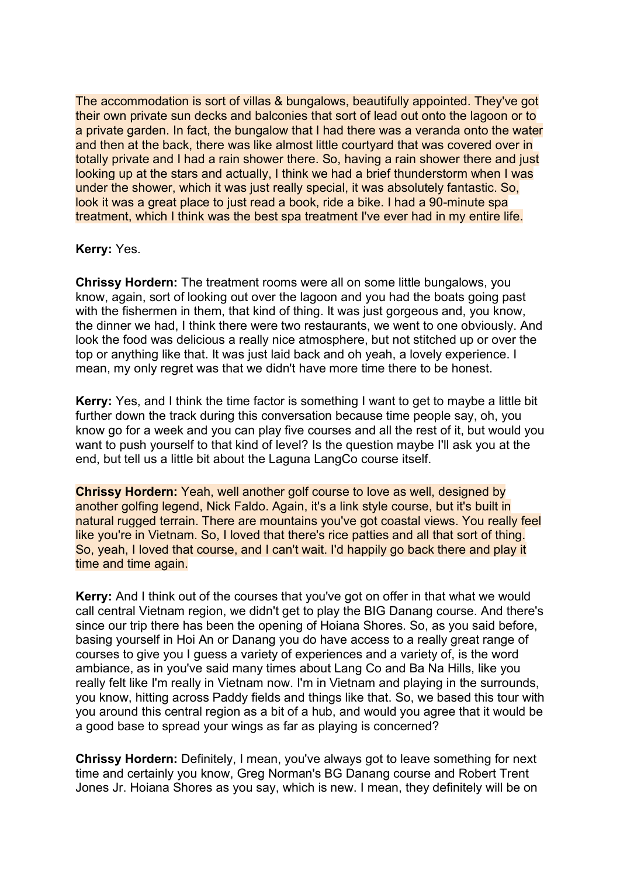The accommodation is sort of villas & bungalows, beautifully appointed. They've got their own private sun decks and balconies that sort of lead out onto the lagoon or to a private garden. In fact, the bungalow that I had there was a veranda onto the water and then at the back, there was like almost little courtyard that was covered over in totally private and I had a rain shower there. So, having a rain shower there and just looking up at the stars and actually, I think we had a brief thunderstorm when I was under the shower, which it was just really special, it was absolutely fantastic. So, look it was a great place to just read a book, ride a bike. I had a 90-minute spa treatment, which I think was the best spa treatment I've ever had in my entire life.

### **Kerry:** Yes.

**Chrissy Hordern:** The treatment rooms were all on some little bungalows, you know, again, sort of looking out over the lagoon and you had the boats going past with the fishermen in them, that kind of thing. It was just gorgeous and, you know, the dinner we had, I think there were two restaurants, we went to one obviously. And look the food was delicious a really nice atmosphere, but not stitched up or over the top or anything like that. It was just laid back and oh yeah, a lovely experience. I mean, my only regret was that we didn't have more time there to be honest.

**Kerry:** Yes, and I think the time factor is something I want to get to maybe a little bit further down the track during this conversation because time people say, oh, you know go for a week and you can play five courses and all the rest of it, but would you want to push yourself to that kind of level? Is the question maybe I'll ask you at the end, but tell us a little bit about the Laguna LangCo course itself.

**Chrissy Hordern:** Yeah, well another golf course to love as well, designed by another golfing legend, Nick Faldo. Again, it's a link style course, but it's built in natural rugged terrain. There are mountains you've got coastal views. You really feel like you're in Vietnam. So, I loved that there's rice patties and all that sort of thing. So, yeah, I loved that course, and I can't wait. I'd happily go back there and play it time and time again.

**Kerry:** And I think out of the courses that you've got on offer in that what we would call central Vietnam region, we didn't get to play the BIG Danang course. And there's since our trip there has been the opening of Hoiana Shores. So, as you said before, basing yourself in Hoi An or Danang you do have access to a really great range of courses to give you I guess a variety of experiences and a variety of, is the word ambiance, as in you've said many times about Lang Co and Ba Na Hills, like you really felt like I'm really in Vietnam now. I'm in Vietnam and playing in the surrounds, you know, hitting across Paddy fields and things like that. So, we based this tour with you around this central region as a bit of a hub, and would you agree that it would be a good base to spread your wings as far as playing is concerned?

**Chrissy Hordern:** Definitely, I mean, you've always got to leave something for next time and certainly you know, Greg Norman's BG Danang course and Robert Trent Jones Jr. Hoiana Shores as you say, which is new. I mean, they definitely will be on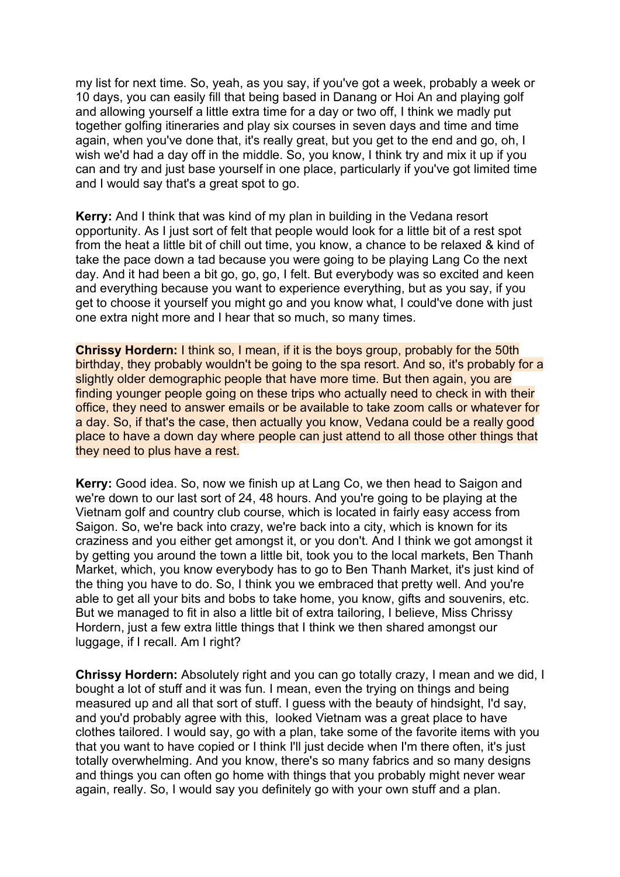my list for next time. So, yeah, as you say, if you've got a week, probably a week or 10 days, you can easily fill that being based in Danang or Hoi An and playing golf and allowing yourself a little extra time for a day or two off, I think we madly put together golfing itineraries and play six courses in seven days and time and time again, when you've done that, it's really great, but you get to the end and go, oh, I wish we'd had a day off in the middle. So, you know, I think try and mix it up if you can and try and just base yourself in one place, particularly if you've got limited time and I would say that's a great spot to go.

**Kerry:** And I think that was kind of my plan in building in the Vedana resort opportunity. As I just sort of felt that people would look for a little bit of a rest spot from the heat a little bit of chill out time, you know, a chance to be relaxed & kind of take the pace down a tad because you were going to be playing Lang Co the next day. And it had been a bit go, go, go, I felt. But everybody was so excited and keen and everything because you want to experience everything, but as you say, if you get to choose it yourself you might go and you know what, I could've done with just one extra night more and I hear that so much, so many times.

**Chrissy Hordern:** I think so, I mean, if it is the boys group, probably for the 50th birthday, they probably wouldn't be going to the spa resort. And so, it's probably for a slightly older demographic people that have more time. But then again, you are finding younger people going on these trips who actually need to check in with their office, they need to answer emails or be available to take zoom calls or whatever for a day. So, if that's the case, then actually you know, Vedana could be a really good place to have a down day where people can just attend to all those other things that they need to plus have a rest.

**Kerry:** Good idea. So, now we finish up at Lang Co, we then head to Saigon and we're down to our last sort of 24, 48 hours. And you're going to be playing at the Vietnam golf and country club course, which is located in fairly easy access from Saigon. So, we're back into crazy, we're back into a city, which is known for its craziness and you either get amongst it, or you don't. And I think we got amongst it by getting you around the town a little bit, took you to the local markets, Ben Thanh Market, which, you know everybody has to go to Ben Thanh Market, it's just kind of the thing you have to do. So, I think you we embraced that pretty well. And you're able to get all your bits and bobs to take home, you know, gifts and souvenirs, etc. But we managed to fit in also a little bit of extra tailoring, I believe, Miss Chrissy Hordern, just a few extra little things that I think we then shared amongst our luggage, if I recall. Am I right?

**Chrissy Hordern:** Absolutely right and you can go totally crazy, I mean and we did, I bought a lot of stuff and it was fun. I mean, even the trying on things and being measured up and all that sort of stuff. I guess with the beauty of hindsight, I'd say, and you'd probably agree with this, looked Vietnam was a great place to have clothes tailored. I would say, go with a plan, take some of the favorite items with you that you want to have copied or I think I'll just decide when I'm there often, it's just totally overwhelming. And you know, there's so many fabrics and so many designs and things you can often go home with things that you probably might never wear again, really. So, I would say you definitely go with your own stuff and a plan.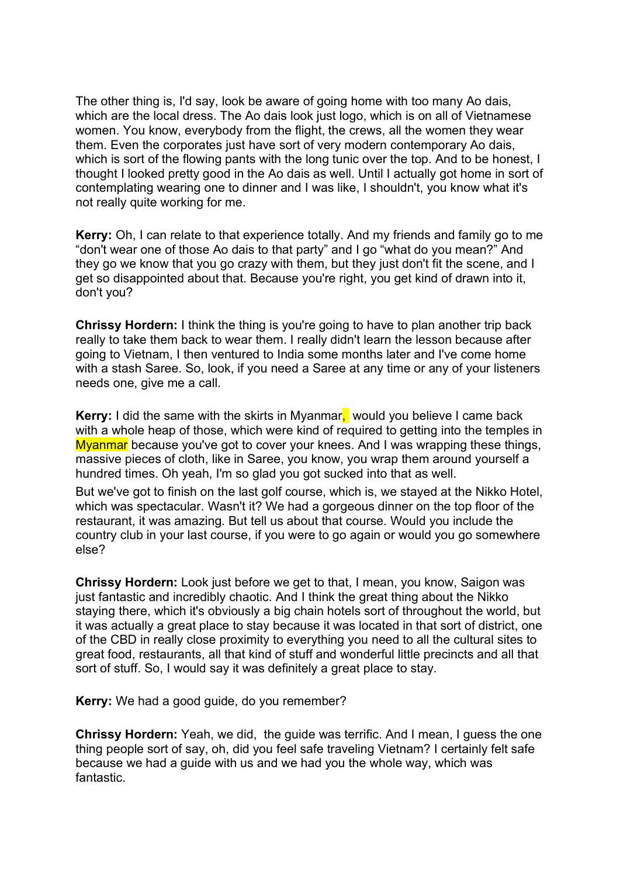The other thing is, I'd say, look be aware of going home with too many Ao dais, which are the local dress. The Ao dais look just logo, which is on all of Vietnamese women. You know, everybody from the flight, the crews, all the women they wear them. Even the corporates just have sort of very modern contemporary Ao dais, which is sort of the flowing pants with the long tunic over the top. And to be honest, I thought I looked pretty good in the Ao dais as well. Until I actually got home in sort of contemplating wearing one to dinner and I was like, I shouldn't, you know what it's not really quite working for me.

**Kerry:** Oh, I can relate to that experience totally. And my friends and family go to me "don't wear one of those Ao dais to that party" and I go "what do you mean?" And they go we know that you go crazy with them, but they just don't fit the scene, and I get so disappointed about that. Because you're right, you get kind of drawn into it, don't you?

**Chrissy Hordern:** I think the thing is you're going to have to plan another trip back really to take them back to wear them. I really didn't learn the lesson because after going to Vietnam, I then ventured to India some months later and I've come home with a stash Saree. So, look, if you need a Saree at any time or any of your listeners needs one, give me a call.

**Kerry:** I did the same with the skirts in Myanmar, would you believe I came back with a whole heap of those, which were kind of required to getting into the temples in Myanmar because you've got to cover your knees. And I was wrapping these things, massive pieces of cloth, like in Saree, you know, you wrap them around yourself a hundred times. Oh yeah, I'm so glad you got sucked into that as well.

But we've got to finish on the last golf course, which is, we stayed at the Nikko Hotel, which was spectacular. Wasn't it? We had a gorgeous dinner on the top floor of the restaurant, it was amazing. But tell us about that course. Would you include the country club in your last course, if you were to go again or would you go somewhere else?

**Chrissy Hordern:** Look just before we get to that, I mean, you know, Saigon was just fantastic and incredibly chaotic. And I think the great thing about the Nikko staying there, which it's obviously a big chain hotels sort of throughout the world, but it was actually a great place to stay because it was located in that sort of district, one of the CBD in really close proximity to everything you need to all the cultural sites to great food, restaurants, all that kind of stuff and wonderful little precincts and all that sort of stuff. So, I would say it was definitely a great place to stay.

**Kerry:** We had a good guide, do you remember?

**Chrissy Hordern:** Yeah, we did, the guide was terrific. And I mean, I guess the one thing people sort of say, oh, did you feel safe traveling Vietnam? I certainly felt safe because we had a guide with us and we had you the whole way, which was fantastic.